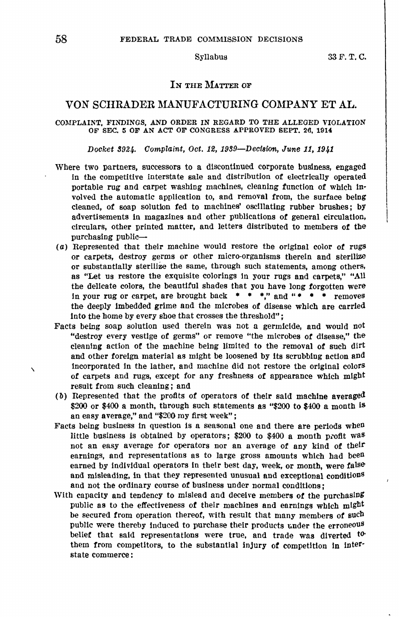## IN THE MATTER OF

# VON SCHRADER MANUFACTURING COMPANY ET AL.

### COMPLAINT, FINDINGS, AND ORDER IN REGARD TO THE ALLEGED VIOLATION OF SEC. 5 OF AN ACT OF CONGRESS APPROVED SEPT. 26, 1914

Docket 8924, Complaint, Oct. 12, 1989-Decision, June 11, 1941

- Where two partners, successors to a discontinued corporate business, engaged in the competitive interstate sale and distribution of electrically operated portable rug and carpet washing machines, cleaning function of which in· volved the automatic application to, and removal from, the surface being cleaned, of soap solution fed to machines' oscillating rubber brushes; by advertisements in magazines and other publications of general circulation, circulars, other printed matter, and letters distributed to members of the purchasing public-
- (a) Represented that their machine would restore the original color of rugs or carpets, destroy germs or other micro-organisms therein and sterilize or substantially sterilize the same, through such statements, among others, as "Let us restore the exquisite colorings in your rugs and carpets," "All the dellcate colors, the beautiful shades that you have long forgotten were in your rug or carpet, are brought back  $\bullet \bullet \bullet$ ," and " $\bullet \bullet \bullet \bullet$  removes the deeply imbedded grime and the microbes of disease which are carried into the home by every shoe that crosses the threshold";
- Facts being soap solution used therein was not a germicide, and would not "destroy every vestige **of** germs" or remove "the microbes **of** disease," the cleaning action of the machine being l!mited to the removal of such dirt and other foreign material as might be loosened by its scrubbing action and \ incorporated in the lather, and machine did not restore the original colors of carpets and rugs, except for any freshness of appearance which might result from such cleaning ; and
- (b) Represented that the profits of operators of their said machine averaged \$200 or \$400 a month, through such statements as "\$200 to \$400 a month is an easy average," and "\$200 my first week";
- Facts being business In question is a seasonal one and there are periods wheD little business is obtained by operators;  $$200$  to  $$400$  a month profit was not an easy average for operators nor an average of any kind of their earnings, and representations as to large gross amounts which had been earned by individual operators in their best day, week, or month, were false and misleading, in that they represented unusual and exceptional conditions and not the ordinary course of business under normal conditions;
- With capacity and tendency to mislead and deceive members **of** the purchasing public as to the effectiveness of their machines and earnings which might be secured from operation thereof, with result that many members of such public were thereby induced to purchase their products under the erroneous belief' that said representations were true, and trade was diverted *to*them from competitors, to the substantial injury of competition in interstate commerce: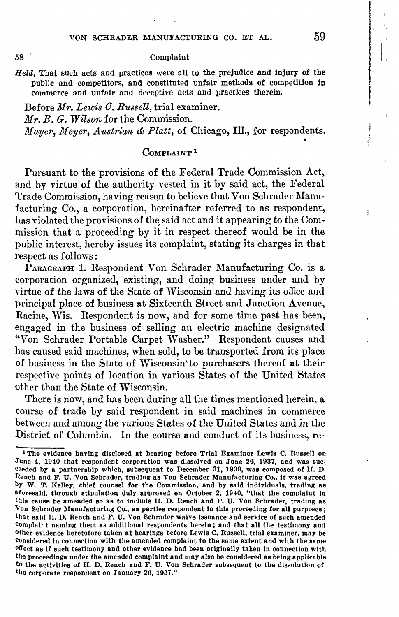### Complaint

Held, That such acts and practices were all to the prejudice and injury of the public and competitors, and constituted unfair methods of competition in commerce and unfair and deceptive acts and practices therein.

Before *Mr. Lewis 0. Russell,* trial examiner. *Mr.* B. G. *lVilson* for the Commission. *Mayer, Meyer, Austrian & Platt,* of Chicago, Ill., for respondents.<br>Complaint<sup>1</sup>

Pursuant to the provisions of the Federal Trade Commission Act, and by virtue of the authority vested in it by said act, the Federal Trade Commission, having reason to believe that Von Schrader Manufacturing Co., a corporation, hereinafter referred to as respondent, has violated the provisions of the said act and it appearing to the Commission that a proceeding by it in respect thereof would be in the public interest, hereby issues its complaint, stating its charges in that respect as follows:

PARAGRAPH 1. Respondent Von Schrader Manufacturing Co. is a corporation organized, existing, and doing business under and by virtue of the laws of the State of Wisconsin and having its office and principal place of business at Sixteenth Street and Junction Avenue, Racine, Wis. Respondent is now, and for some time past has been, engaged in the business of selling an electric machine designated "Von Schrader Portable Carpet Washer." Respondent causes and has caused said machines, when sold, to be transported from its place of business in the State of Wisconsin' to purchasers thereof at their respective points of location in various States of the United States other than the State of Wisconsin.

There is now, and has been during all the times mentioned herein, a course of trade by said respondent in said machines in commerce between and among the various States of the United States and in the District of Columbia. In the course and conduct of its business, re-

58

I. 'I l i<br>I<br>I<br>I<br>I

 $\mathbf{I}$ 

<sup>&</sup>lt;sup>1</sup> The evidence having disclosed at hearing before Trial Examiner Lewis C. Russell on June 4, 1940 that respondent corporation was dissolved on June 26, 1937, and was succeeded by a partnership which, subsequent to December 31, 1930, was composed of H. D. Rench and F. U. Von Schrader, trading as Von Schrader Manufacturing Co., it was agreed by W. T. Kelley, chief counsel for the Commission, and by said Individuals, trading **es**  aforesaid, through stipulation duly approved on October 2, 1940, "that the complaint In this cause be amended so as to Include H. D. Ilencb and F. U. Von Schrader, trading **as**  Von Schrader Manufacturing Co., as parties respondent in this proceeding for all purposes; that said II. D. Rench and F. U. Von Schrader waive issuance and service of such amended complaint naming them as additional respondents herein; and that all the testimony and Other evidence heretofore taken at bearings before Lewis C. Russell, trial examiner, may be Considered In connection with the amended complaint to the same extent and with the snme effect as if such testimony and other evidence had been originally taken in connection with the proceedings under the amended complaint and may also be considered as being applicable to the activities of II. D. Rench and F. U. Von Schrader subsequent to the dissolution of the corporate respondent on January 20, 1937."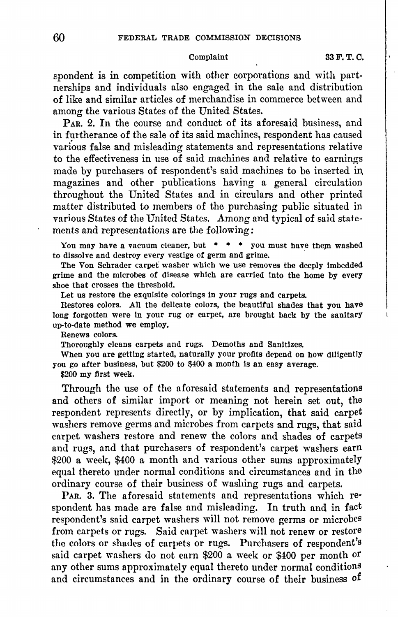spondent is in competition with other corporations and with partnerships and individuals also engaged in the sale and distribution of like and similar articles of merchandise in commerce between and among the various States of the United States.

PAR. 2. In the course and conduct of its aforesaid business, and in furtherance of the sale of its said machines, respondent has caused various false and misleading statements and representations relative to the effectiveness in use of said machines and relative to earnings made by purchasers of respondent's said machines to be inserted in  $magazines$  and other publications having a general circulation throughout the United States and in circulars and other printed matter distributed to members of the purchasing public situated in various States of the United States. Among and typical of said statements and representations are the following:

You may have a vacuum cleaner, but  $\ast \ast \ast$  you must have them washed to dissolve and destroy every vestige *ot* germ and grime. ·

The Von Schrader carpet washer which we use removes the deeply imbedded grime and the microbes *ot* disease which are carried into the home by every shoe that crosses the threshold.

Let us restore the exquisite colorings in your rugs and carpets.

Restores colors. All the delicate colors, the beautiful shades that you have long forgotten were in your rug or carpet, are brought back by the sanitary up-to-date method we employ,

Renews colors.

Thoroughly cleans carpets and rugs. Demoths and Sanitizes.

When you are getting started, naturally your profits depend on how diligently you go after business, but \$200 to \$400 a month Is an easy average.

\$200 my first week.

Through the use of the aforesaid statements and representations and others of similar import or meaning not herein set out, the respondent represents directly, or by implication, that said carpet washers remove germs and microbes from carpets and rugs, that said carpet washers restore and renew the colors and shades of carpets and rugs, and that purchasers of respondent's carpet washers earn \$200 a week, \$400 a month and various other sums approximately equal thereto under normal conditions and circumstances and in the ordinary course of their business of washing rugs and carpets.

PAR. 3. The aforesaid statements and representations which respondent has made are false and misleading. In truth and in fact respondent's said carpet washers will not remove germs or microbes from carpets or rugs. Said carpet washers will not renew or restore the colors or shades of carpets or rugs. Purchasers of respondent's said carpet washers do not earn \$200 a week or \$400 per month or any other sums approximately equal thereto under normal conditions and circumstances and in the ordinary course of their business of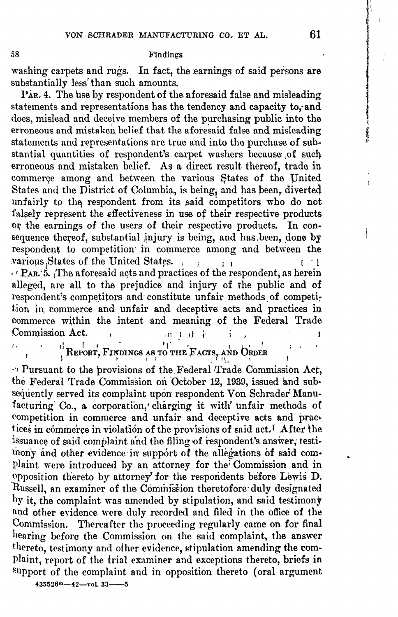Findings

washing carpets and rugs. In fact, the earnings of said persons are substantially less' than such amounts.

PAR. 4. The use by respondent of the aforesaid false and misleading statements and representations has the tendency and capacity **to,·and**  does, mislead and deceive members of the purchasing public into the erroneous and mistaken belief that the aforesaid false and misleading statements and representations are true and into the purchase of substantial quantities of respondent's carpet washers because of such erroneous and mistaken belief. As a direct result thereof, trade in commerce among and between the various States of the United States and the District of Columbia, is being, and has been, diverted unfairly to the respondent from its said competitors who do not falsely represent the effectiveness in use of their respective products or the earnings of the users of their respective products. In consequence thereof, substantial injury is being, and has been, done by respondent to competition in commerce among and between the various States of the United States. ,  $\frac{1}{1}$  1  $\cdot$ <sup> $\cdot$ </sup> P<sub>AR</sub> $\cdot$ 5. The aforesaid acts and practices of the respondent, as herein alleged, are all to the prejudice and injury of the public and of respondent's competitors and constitute unfair methods of competition in commerce and unfair and deceptive acts and practices in commerce within the intent and meaning of the Federal Trade Commission Act. .ff r it l· ř

 $\mathbf{J}_1$ , if  $\mathbf{J}_2$   $\mathbf{J}_3$   $\mathbf{J}_4$   $\mathbf{J}_5$   $\mathbf{J}_6$   $\mathbf{J}_7$   $\mathbf{J}_8$   $\mathbf{J}_7$   $\mathbf{J}_8$   $\mathbf{J}_7$   $\mathbf{J}_8$   $\mathbf{J}_9$   $\mathbf{J}_9$   $\mathbf{J}_9$   $\mathbf{J}_9$   $\mathbf{J}_9$   $\mathbf{J}_9$   $\mathbf{J}_9$   $\mathbf{J}_9$   $\mathbf{J}_9$   $\mathbf{J}_$  $\frac{1}{2}$ Report, Fixdings as to the Facts, and Order

-·1 Pursuant to the provisions of the.Federal ffrade Commission Act, the Federal Trade Commission on October 12, 1939, issued and subsequently served its complaint upon respondent Von Schrader Manufacturing Co., a corporation, charging it with unfair methods of competition in commerce and unfair and deceptive acts and practices in commerce in violation of the provisions of said act. I After the issuance of said complaint and the filing of respondent's answer; testilnony and other evidence in support of the allegations of said complaint were introduced by an attorney for the Commission and in {'lpposition thereto by attorney' for the respondents before Lewis D. Russell, an examiner of the Commission theretofore duly designated hy it, the complaint was amended by stipulation, and said testimony and other evidence were duly recorded and filed in the office of the Commission. Thereafter the proceeding regularly came on for final hearing before the Commission on the said complaint, the answer thereto, testimony and other evidence, stipulation amending the complaint, report of the trial examiner and exceptions thereto, briefs in support of the complaint and in opposition thereto ( oral argument

**4351'126m-42-vol. 33-1'1** 

 $\mathbf{r}$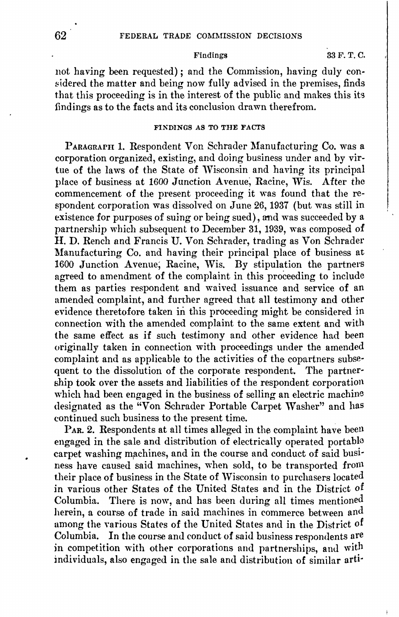# Findings 33 F. T. C.

not having been requested); and the Commission, having duly considered the matter and being now fully advised in the premises, finds that this proceeding is in the interest of the public and makes this its findings as to the facts and its conclusion drawn therefrom.

# FINDINGS AS TO THE FACTS

PARAGRAPH 1. Respondent Von Schrader Manufacturing Co. was a corporation organized, existing, and doing business under and by virtue of the laws of the State of Wisconsin and having its principal place of business at 1600 Junction Avenue, Racine, Wis. After the commencement of the present proceeding it was found that the respondent corporation was dissolved on June 26, 1937 (but was still in existence for purposes of suing or being sued), and was succeeded by a partnership which subsequent to December 31, 1939, was composed of H. D. Rench and Francis U. Von Schrader, trading as Von Schrader Manufacturing Co. and having their principal place of business at 1600 Junction Avenue; Racine, Wis. By stipulation the partners agreed to amendment of the complaint in this proceeding to include them as parties respondent and waived issuance and service of an amended complaint, and further agreed that all testimony and other evidence theretofore taken in this proceeding might be considered in connection with the amended complaint to the same extent and with the same effect as if such testimony and other evidence had been originally taken in connection with proceedings under the amended complaint and as applicable to the activities of the copartners subsequent to the dissolution of the corporate respondent. The partnership took over the assets and liabilities of the respondent corporation which had been engaged in the business of selling an electric machine designated as the "Von Schrader Portable Carpet Washer" and has continued such business to the present time.

PAR. 2. Respondents at all times alleged in the complaint have been engaged in the sale and distribution of electrically operated portable carpet washing machines, and in the course and conduct of said business have caused said machines, when sold, *to* be transported fron1 their place of business in the State of Wisconsin to purchasers located in various other States of the United States and in the District of Columbia. There is now, and has been during all times mentioned herein, a course of trade in said machines in commerce between and among the various States of the United States and in the District of Columbia. In the course and conduct of said business respondents are in competition with other corporations and partnerships, and with individuals, also engaged in the sale and distribution of similar arti-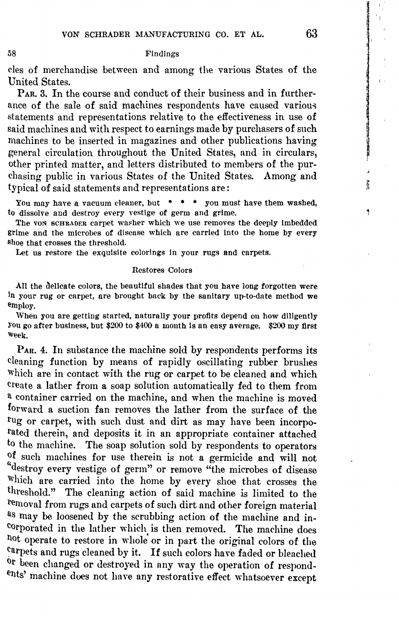### Findings

cles of merchandise between and among the various States of the United States.

PAR. 3. In the course and conduct of their business and in furtherance of the sale of said machines respondents have caused various statements and representations relative to the effectiveness in use **of**  said machines and with respect to earnings made by purchasers of such machines to be inserted in magazines and other publications having general circulation throughout the United States, and in circulars, other printed matter, and letters distributed to members of the purchasing public in various States of the United States. Among and typical of said statements and representations **are:** 

You may have a vacuum cleaner, but  $\cdot \cdot \cdot$   $\cdot$  you must have them washed, to dissolve and destroy every yestige of germ and grime.

The von schrasser carpet washer which we use removes the deeply imbedded grime and the microbes of disease which are carried into the home by every shoe that crosses the threshold.

Let us restore the exquisite colorings in your rugs and carpets.

### Restores Colors

All the delicate colors, the beautiful shades that you have long forgotten were In your rug or carpet, are brought back by the sanitary up-to-date method **we**  employ.

When you are getting started, naturally your profits depend on how diligently You go after business, but \$200 to \$400 a month Is an easy avernge. \$200 my first \\>eek.

 $P_{AR}$ . 4. In substance the machine sold by respondents performs its cleaning function by means of rapidly oscillating rubber brushes Which are in contact with the rug or carpet to be cleaned and which create a lather from a soap solution automatically fed to them from a container carried on the machine, and when the machine is moved forward a suction fan removes the lather from the surface of the rug or carpet, with such dust and dirt as may have been incorporated therein, and deposits it in an appropriate container attached to the machine. The soap solution sold by respondents to operators of such machines for use therein is not a germicide and will not "destroy every vestige of germ" or remove "the microbes of disease Which are carried into the home by every shoe that crosses the threshold." The cleaning action of said machine is limited to the removal from rugs and carpets of such dirt and other foreign material as may be loosened by the scrubbing action of the machine and incorporated in the lather which is then removed. The machine does hot operate to restore in whole or in part the original colors of the carpets and rugs cleaned by it. If such colors have faded or bleached <sup>or</sup> been changed or destroyed in any way the operation of respondents' machine does not have any restorative effect whatsoever except

58

ţ

Ą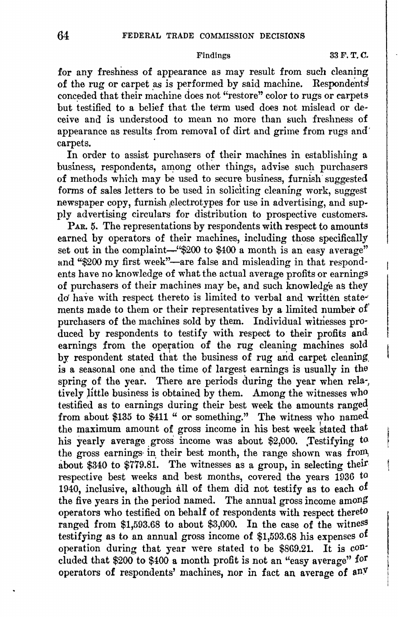Findings 33 F.T.C.

for any freshness of appearance as may result from such cleaning of the rug or carpet as is performed by said machine. Respondents conceded that their machine does not "restore" color to rugs or carpets but testified to a belief that the term used does not mislead or deceive and is understood to mean no more than such freshness of appearance as results from removal of dirt and grime from rugs and' carpets.

In order to assist purchasers *of* their machines in establishing a business, respondents, among other things, advise such purchasers of methods which may be used to secure business, furnish' suggested forms of sales letters to be used in soliciting cleaning work, suggest newspaper copy, furnish electrotypes for use in advertising, and supply advertising circulars for distribution to prospective customers.

PAR. 5. The representations by respondents with respect to amounts earned by operators of their machines, including those specifically set out in the complaint-"\$200 to \$400 a month is an easy average" and "\$200 my first week"-are false and misleading in that respond· ents have no knowledge of what the actual average profits or earnings of purchasers of their machines may be, and such knowledge as they *do* have with respect thereto is limited to verbal and written statements made to them or their representatives by a limited number of' purchasers of the machines sold by them. Individual witnesses pro· duced by respondents to testify with respect to their profits and earnings from the operation of the rug cleaning machines sold by respondent stated that the business of rug and carpet cleaning, is a seasonal one and the time of largest earnings is usually in the spring of the year. There are periods during the year when rela-, tively little business is obtained by them. Among the witnesses who testified as to earnings during their best week the amounts ranged from about \$135 to \$411 " or something." The witness who named the maximum amount of gross income in his best week stated that his yearly average gross income was about \$2,000. Testifying to the gross earnings in their best month, the range shown was from, about \$340 to \$779.81. The witnesses as a group, in selecting their respective best weeks and best months, covered the years 1936 to 1940, inclusive, although all of them did not testify as to each of the five years in the period named. The annual gross income among operators who testified on behalf of respondents with respect thereto ranged from [\\$1,593.68](https://1,593.68) to about \$3,000. In the case of the witness testifying as to an annual gross income of [\\$1,593.68](https://1,593.68) his expenses of operation during that year were stated to be \$869.21. It is con· eluded that \$200 to \$400 a month profit is not an "easy average" for operators of respondents' machines, nor in fact an average of anY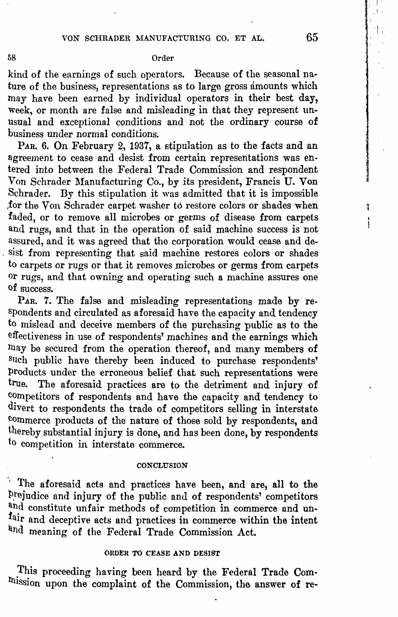## 58 Order

kind of the earnings of such operators. Because of the seasonal nature of the business, representations as to large gross amounts which may have been earned by individual operators in their best **day,**  week, or month are false and misleading in that they represent unusual and exceptional conditions and not the ordinary course of business under normal conditions.

PAR. 6. On February 2, 1937, a stipulation as to the facts and an agreement to cease and desist from certain representations was entered into between the Federal Trade Commission and respondent Von Schrader Manufacturing Co., by its president, Francis U. Von Schrader. By this stipulation it was admitted that it is impossible ,for the Von Schrader carpet washer to restore colors or shades when faded, or to remove all microbes or germs of disease from carpets and rugs, and that in the operation of said machine success is not assured, and it was agreed that the corporation would cease and de sist from representing that said machine restores colors or shades to carpets or rugs or that it removes microbes or germs from carpets or rugs, and that owning and operating such a machine assures one of success.

PAR. 7. The false and misleading representations made by respondents and circulated as aforesaid have the capacity and tendency to mislead and deceive members of the purchasing public as to the effectiveness in use of respondents' machines and the earnings which may be secured from the operation thereof, and many members of such public have thereby been induced to purchase respondents' products under the erroneous belief that such representations were<br>true. The aforesaid practices are to the detriment and injury of The aforesaid practices are to the detriment and injury of competitors of respondents and have the capacity and tendency to divert to respondents the trade of competitors selling in interstate commerce products of the nature of those sold by respondents, and thereby substantial injury is done, and has been done, by respondents to competition in interstate commerce.

### **CONCLUSION**

·, The aforesaid acts and practices have been, and are, all to the prejudice and injury of the public and of respondents' competitors and constitute unfair methods of competition in commerce and unfair and deceptive acts and practices in commerce within the intent and meaning of the Federal Trade Commission Act.

## ORDER TO CEASE AND DESIST

This proceeding having been heard by the Federal Trade Commission upon the complaint of the Commission, the answer of re-

I I,

I I